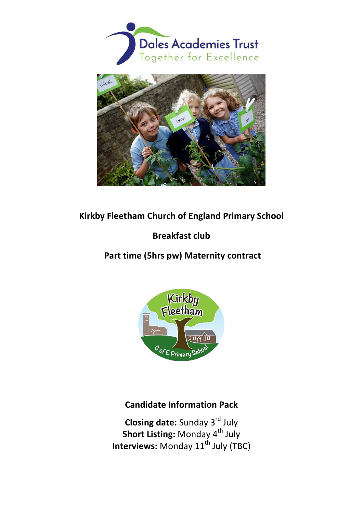



## **Kirkby Fleetham Church of England Primary School**

# **Breakfast club**

 **Part time (5hrs pw) Maternity contract** 



# **Candidate Information Pack**

**Closing date:** Sunday 3<sup>rd</sup> July **Short Listing:** Monday 4<sup>th</sup> July **Interviews:** Monday 11<sup>th</sup> July (TBC)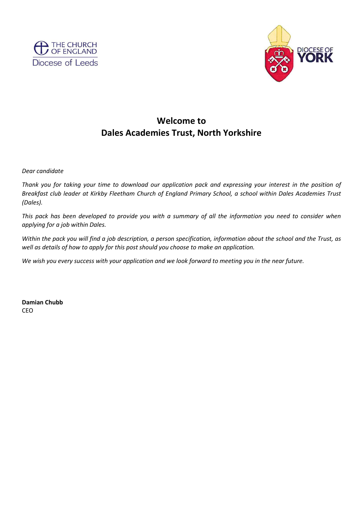



# **Welcome to Dales Academies Trust, North Yorkshire**

*Dear candidate* 

*Thank you for taking your time to download our application pack and expressing your interest in the position of Breakfast club leader at Kirkby Fleetham Church of England Primary School, a school within Dales Academies Trust (Dales).* 

*This pack has been developed to provide you with a summary of all the information you need to consider when applying for a job within Dales.* 

*Within the pack you will find a job description, a person specification, information about the school and the Trust, as well as details of how to apply for this post should you choose to make an application.* 

*We wish you every success with your application and we look forward to meeting you in the near future.* 

**Damian Chubb**  CEO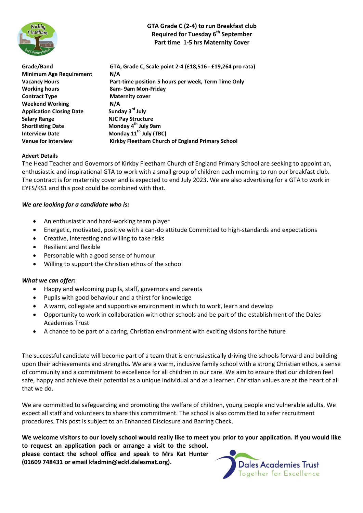

### **GTA Grade C (2-4) to run Breakfast club Required for Tuesday 6th September Part time 1-5 hrs Maternity Cover**

| Grade/Band                      | GTA, Grade C, Scale point 2-4 (£18,516 - £19,264 pro rata) |  |  |
|---------------------------------|------------------------------------------------------------|--|--|
| <b>Minimum Age Requirement</b>  | N/A                                                        |  |  |
| <b>Vacancy Hours</b>            | Part-time position 5 hours per week, Term Time Only        |  |  |
| <b>Working hours</b>            | 8am- 9am Mon-Friday                                        |  |  |
| <b>Contract Type</b>            | <b>Maternity cover</b>                                     |  |  |
| <b>Weekend Working</b>          | N/A                                                        |  |  |
| <b>Application Closing Date</b> | Sunday 3rd July                                            |  |  |
| <b>Salary Range</b>             | <b>NJC Pay Structure</b>                                   |  |  |
| <b>Shortlisting Date</b>        | Monday 4 <sup>th</sup> July 9am                            |  |  |
| <b>Interview Date</b>           | Monday 11 <sup>th</sup> July (TBC)                         |  |  |
| <b>Venue for Interview</b>      | Kirkby Fleetham Church of England Primary School           |  |  |
|                                 |                                                            |  |  |

#### **Advert Details**

The Head Teacher and Governors of Kirkby Fleetham Church of England Primary School are seeking to appoint an, enthusiastic and inspirational GTA to work with a small group of children each morning to run our breakfast club. The contract is for maternity cover and is expected to end July 2023. We are also advertising for a GTA to work in EYFS/KS1 and this post could be combined with that.

#### *We are looking for a candidate who is:*

- An enthusiastic and hard-working team player
- Energetic, motivated, positive with a can-do attitude Committed to high-standards and expectations
- Creative, interesting and willing to take risks
- Resilient and flexible
- Personable with a good sense of humour
- Willing to support the Christian ethos of the school

#### *What we can offer:*

- Happy and welcoming pupils, staff, governors and parents
- Pupils with good behaviour and a thirst for knowledge
- A warm, collegiate and supportive environment in which to work, learn and develop
- Opportunity to work in collaboration with other schools and be part of the establishment of the Dales Academies Trust
- A chance to be part of a caring, Christian environment with exciting visions for the future

The successful candidate will become part of a team that is enthusiastically driving the schools forward and building upon their achievements and strengths. We are a warm, inclusive family school with a strong Christian ethos, a sense of community and a commitment to excellence for all children in our care. We aim to ensure that our children feel safe, happy and achieve their potential as a unique individual and as a learner. Christian values are at the heart of all that we do.

We are committed to safeguarding and promoting the welfare of children, young people and vulnerable adults. We expect all staff and volunteers to share this commitment. The school is also committed to safer recruitment procedures. This post is subject to an Enhanced Disclosure and Barring Check.

**We welcome visitors to our lovely school would really like to meet you prior to your application. If you would like to request an application pack or arrange a visit to the school, please contact the school office and speak to Mrs Kat Hunter** 

**(01609 748431 or email kfadmin@eckf.dalesmat.org).** 

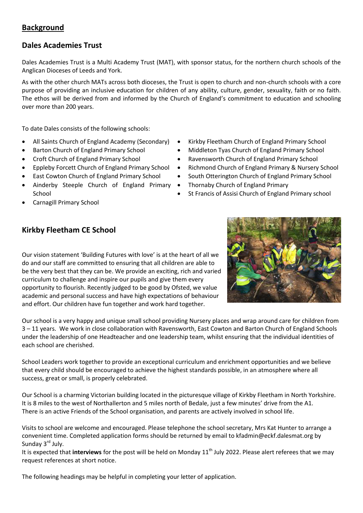## **Background**

## **Dales Academies Trust**

Dales Academies Trust is a Multi Academy Trust (MAT), with sponsor status, for the northern church schools of the Anglican Dioceses of Leeds and York.

As with the other church MATs across both dioceses, the Trust is open to church and non-church schools with a core purpose of providing an inclusive education for children of any ability, culture, gender, sexuality, faith or no faith. The ethos will be derived from and informed by the Church of England's commitment to education and schooling over more than 200 years.

To date Dales consists of the following schools:

- 
- 
- 
- 
- East Cowton Church of England Primary School
- Ainderby Steeple Church of England Primary School
- Carnagill Primary School
- All Saints Church of England Academy (Secondary) Kirkby Fleetham Church of England Primary School
- Barton Church of England Primary School Middleton Tyas Church of England Primary School
- Croft Church of England Primary School **••** Ravensworth Church of England Primary School
- Eppleby Forcett Church of England Primary School Richmond Church of England Primary & Nursery School
	- South Otterington Church of England Primary School
	- Thornaby Church of England Primary
	- St Francis of Assisi Church of England Primary school

### **Kirkby Fleetham CE School**

Our vision statement 'Building Futures with love' is at the heart of all we do and our staff are committed to ensuring that all children are able to be the very best that they can be. We provide an exciting, rich and varied curriculum to challenge and inspire our pupils and give them every opportunity to flourish. Recently judged to be good by Ofsted, we value academic and personal success and have high expectations of behaviour and effort. Our children have fun together and work hard together.



Our school is a very happy and unique small school providing Nursery places and wrap around care for children from 3 – 11 years. We work in close collaboration with Ravensworth, East Cowton and Barton Church of England Schools under the leadership of one Headteacher and one leadership team, whilst ensuring that the individual identities of each school are cherished.

School Leaders work together to provide an exceptional curriculum and enrichment opportunities and we believe that every child should be encouraged to achieve the highest standards possible, in an atmosphere where all success, great or small, is properly celebrated.

Our School is a charming Victorian building located in the picturesque village of Kirkby Fleetham in North Yorkshire. It is 8 miles to the west of Northallerton and 5 miles north of Bedale, just a few minutes' drive from the A1. There is an active Friends of the School organisation, and parents are actively involved in school life.

Visits to school are welcome and encouraged. Please telephone the school secretary, Mrs Kat Hunter to arrange a convenient time. Completed application forms should be returned by email to kfadmin@eckf.dalesmat.org by Sunday 3<sup>rd</sup> July.

It is expected that *interviews* for the post will be held on Monday 11<sup>th</sup> July 2022. Please alert referees that we may request references at short notice.

The following headings may be helpful in completing your letter of application.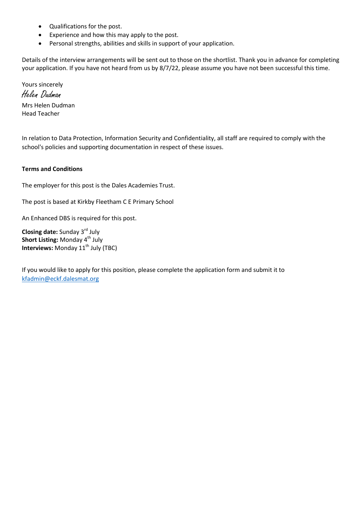- Qualifications for the post.
- Experience and how this may apply to the post.
- Personal strengths, abilities and skills in support of your application.

Details of the interview arrangements will be sent out to those on the shortlist. Thank you in advance for completing your application. If you have not heard from us by 8/7/22, please assume you have not been successful this time.

Yours sincerely Helen Dudman Mrs Helen Dudman Head Teacher

In relation to Data Protection, Information Security and Confidentiality, all staff are required to comply with the school's policies and supporting documentation in respect of these issues.

#### **Terms and Conditions**

The employer for this post is the Dales Academies Trust.

The post is based at Kirkby Fleetham C E Primary School

An Enhanced DBS is required for this post.

**Closing date:** Sunday 3<sup>rd</sup> July **Short Listing: Monday 4<sup>th</sup> July Interviews:** Monday 11<sup>th</sup> July (TBC)

If you would like to apply for this position, please complete the application form and submit it to [kfadmin@eckf.dalesmat.org](mailto:kfadmin@eckf.dalesmat.org)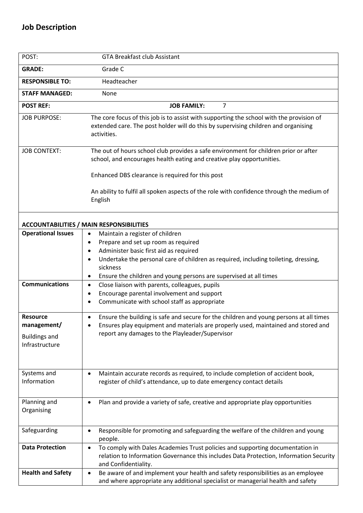| POST:                                                                    | <b>GTA Breakfast club Assistant</b>                                                                                                                                                                                                                        |  |  |  |  |
|--------------------------------------------------------------------------|------------------------------------------------------------------------------------------------------------------------------------------------------------------------------------------------------------------------------------------------------------|--|--|--|--|
| <b>GRADE:</b>                                                            | Grade C                                                                                                                                                                                                                                                    |  |  |  |  |
| <b>RESPONSIBLE TO:</b>                                                   | Headteacher                                                                                                                                                                                                                                                |  |  |  |  |
| <b>STAFF MANAGED:</b>                                                    | None                                                                                                                                                                                                                                                       |  |  |  |  |
| $\overline{7}$<br><b>POST REF:</b><br><b>JOB FAMILY:</b>                 |                                                                                                                                                                                                                                                            |  |  |  |  |
| <b>JOB PURPOSE:</b>                                                      | The core focus of this job is to assist with supporting the school with the provision of<br>extended care. The post holder will do this by supervising children and organising<br>activities.                                                              |  |  |  |  |
| <b>JOB CONTEXT:</b>                                                      | The out of hours school club provides a safe environment for children prior or after<br>school, and encourages health eating and creative play opportunities.                                                                                              |  |  |  |  |
|                                                                          | Enhanced DBS clearance is required for this post                                                                                                                                                                                                           |  |  |  |  |
|                                                                          | An ability to fulfil all spoken aspects of the role with confidence through the medium of<br>English                                                                                                                                                       |  |  |  |  |
|                                                                          | <b>ACCOUNTABILITIES / MAIN RESPONSIBILITIES</b>                                                                                                                                                                                                            |  |  |  |  |
| <b>Operational Issues</b>                                                | Maintain a register of children<br>$\bullet$<br>Prepare and set up room as required<br>$\bullet$<br>Administer basic first aid as required<br>$\bullet$<br>Undertake the personal care of children as required, including toileting, dressing,<br>sickness |  |  |  |  |
| <b>Communications</b>                                                    | Ensure the children and young persons are supervised at all times<br>Close liaison with parents, colleagues, pupils<br>$\bullet$                                                                                                                           |  |  |  |  |
|                                                                          | Encourage parental involvement and support<br>$\bullet$<br>Communicate with school staff as appropriate<br>$\bullet$                                                                                                                                       |  |  |  |  |
| <b>Resource</b><br>management/<br><b>Buildings and</b><br>Infrastructure | Ensure the building is safe and secure for the children and young persons at all times<br>$\bullet$<br>Ensures play equipment and materials are properly used, maintained and stored and<br>report any damages to the Playleader/Supervisor                |  |  |  |  |
| Systems and<br>Information                                               | Maintain accurate records as required, to include completion of accident book,<br>$\bullet$<br>register of child's attendance, up to date emergency contact details                                                                                        |  |  |  |  |
| Planning and<br>Organising                                               | Plan and provide a variety of safe, creative and appropriate play opportunities                                                                                                                                                                            |  |  |  |  |
| Safeguarding                                                             | Responsible for promoting and safeguarding the welfare of the children and young<br>$\bullet$<br>people.                                                                                                                                                   |  |  |  |  |
| <b>Data Protection</b>                                                   | To comply with Dales Academies Trust policies and supporting documentation in<br>$\bullet$<br>relation to Information Governance this includes Data Protection, Information Security<br>and Confidentiality.                                               |  |  |  |  |
| <b>Health and Safety</b>                                                 | Be aware of and implement your health and safety responsibilities as an employee<br>$\bullet$<br>and where appropriate any additional specialist or managerial health and safety                                                                           |  |  |  |  |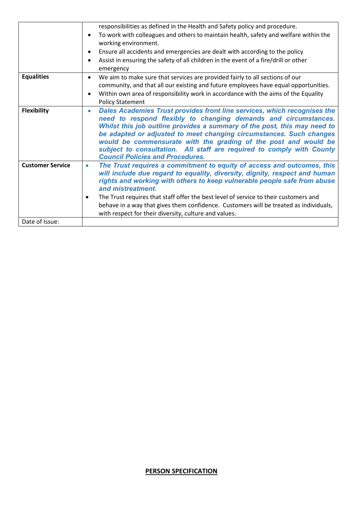|                         | responsibilities as defined in the Health and Safety policy and procedure.                                                                                                                                                                                                                                                                                                                                                                                                                         |  |  |  |
|-------------------------|----------------------------------------------------------------------------------------------------------------------------------------------------------------------------------------------------------------------------------------------------------------------------------------------------------------------------------------------------------------------------------------------------------------------------------------------------------------------------------------------------|--|--|--|
|                         | To work with colleagues and others to maintain health, safety and welfare within the<br>$\bullet$                                                                                                                                                                                                                                                                                                                                                                                                  |  |  |  |
|                         | working environment.                                                                                                                                                                                                                                                                                                                                                                                                                                                                               |  |  |  |
|                         | Ensure all accidents and emergencies are dealt with according to the policy<br>$\bullet$                                                                                                                                                                                                                                                                                                                                                                                                           |  |  |  |
|                         | Assist in ensuring the safety of all children in the event of a fire/drill or other<br>$\bullet$                                                                                                                                                                                                                                                                                                                                                                                                   |  |  |  |
|                         | emergency                                                                                                                                                                                                                                                                                                                                                                                                                                                                                          |  |  |  |
| <b>Equalities</b>       | We aim to make sure that services are provided fairly to all sections of our<br>$\bullet$                                                                                                                                                                                                                                                                                                                                                                                                          |  |  |  |
|                         | community, and that all our existing and future employees have equal opportunities.                                                                                                                                                                                                                                                                                                                                                                                                                |  |  |  |
|                         | Within own area of responsibility work in accordance with the aims of the Equality<br>$\bullet$                                                                                                                                                                                                                                                                                                                                                                                                    |  |  |  |
|                         | <b>Policy Statement</b>                                                                                                                                                                                                                                                                                                                                                                                                                                                                            |  |  |  |
| <b>Flexibility</b>      | Dales Academies Trust provides front line services, which recognises the<br>$\bullet$<br>need to respond flexibly to changing demands and circumstances.<br>Whilst this job outline provides a summary of the post, this may need to<br>be adapted or adjusted to meet changing circumstances. Such changes<br>would be commensurate with the grading of the post and would be<br>subject to consultation. All staff are required to comply with County<br><b>Council Policies and Procedures.</b> |  |  |  |
| <b>Customer Service</b> | The Trust requires a commitment to equity of access and outcomes, this<br>$\bullet$<br>will include due regard to equality, diversity, dignity, respect and human<br>rights and working with others to keep vulnerable people safe from abuse<br>and mistreatment.                                                                                                                                                                                                                                 |  |  |  |
|                         | The Trust requires that staff offer the best level of service to their customers and<br>٠                                                                                                                                                                                                                                                                                                                                                                                                          |  |  |  |
|                         | behave in a way that gives them confidence. Customers will be treated as individuals,                                                                                                                                                                                                                                                                                                                                                                                                              |  |  |  |
|                         | with respect for their diversity, culture and values.                                                                                                                                                                                                                                                                                                                                                                                                                                              |  |  |  |
| Date of Issue:          |                                                                                                                                                                                                                                                                                                                                                                                                                                                                                                    |  |  |  |